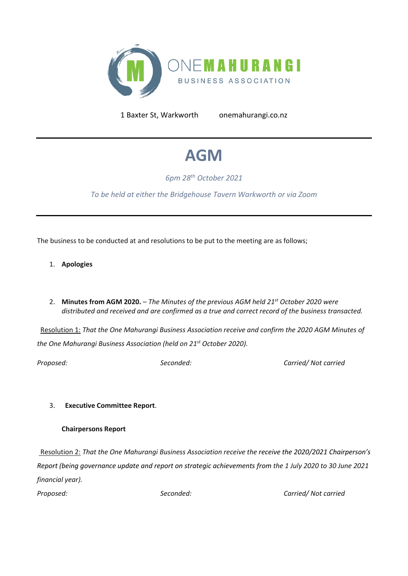

1 Baxter St, Warkworth onemahurangi.co.nz

# **AGM**

*6pm 28 th October 2021*

*To be held at either the Bridgehouse Tavern Warkworth or via Zoom*

The business to be conducted at and resolutions to be put to the meeting are as follows;

- 1. **Apologies**
- 2. Minutes from AGM 2020. The Minutes of the previous AGM held 21<sup>st</sup> October 2020 were *distributed and received and are confirmed as a true and correct record of the business transacted.*

 Resolution 1: *That the One Mahurangi Business Association receive and confirm the 2020 AGM Minutes of the One Mahurangi Business Association (held on 21 st October 2020).*

*Proposed: Seconded: Carried/ Not carried*

# 3. **Executive Committee Report**.

## **Chairpersons Report**

Resolution 2: *That the One Mahurangi Business Association receive the receive the 2020/2021 Chairperson's Report (being governance update and report on strategic achievements from the 1 July 2020 to 30 June 2021 financial year).*

*Proposed: Seconded: Carried/ Not carried*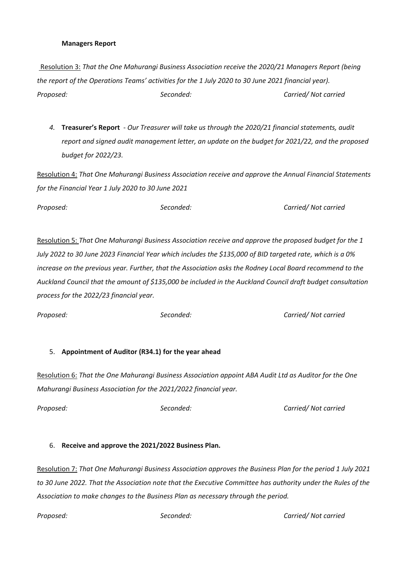## **Managers Report**

Resolution 3: *That the One Mahurangi Business Association receive the 2020/21 Managers Report (being the report of the Operations Teams' activities for the 1 July 2020 to 30 June 2021 financial year). Proposed: Seconded: Carried/ Not carried*

*4.* **Treasurer's Report** - *Our Treasurer will take us through the 2020/21 financial statements, audit report and signed audit management letter, an update on the budget for 2021/22, and the proposed budget for 2022/23.* 

Resolution 4: *That One Mahurangi Business Association receive and approve the Annual Financial Statements for the Financial Year 1 July 2020 to 30 June 2021*

*Proposed: Seconded: Carried/ Not carried*

Resolution 5: *That One Mahurangi Business Association receive and approve the proposed budget for the 1 July 2022 to 30 June 2023 Financial Year which includes the \$135,000 of BID targeted rate, which is a 0% increase on the previous year. Further, that the Association asks the Rodney Local Board recommend to the Auckland Council that the amount of \$135,000 be included in the Auckland Council draft budget consultation process for the 2022/23 financial year.* 

*Proposed: Seconded: Carried/ Not carried*

### 5. **Appointment of Auditor (R34.1) for the year ahead**

Resolution 6: *That the One Mahurangi Business Association appoint ABA Audit Ltd as Auditor for the One Mahurangi Business Association for the 2021/2022 financial year.*

*Proposed: Seconded: Carried/ Not carried*

### 6. **Receive and approve the 2021/2022 Business Plan.**

Resolution 7: *That One Mahurangi Business Association approves the Business Plan for the period 1 July 2021 to 30 June 2022. That the Association note that the Executive Committee has authority under the Rules of the Association to make changes to the Business Plan as necessary through the period.*

*Proposed: Seconded: Carried/ Not carried*